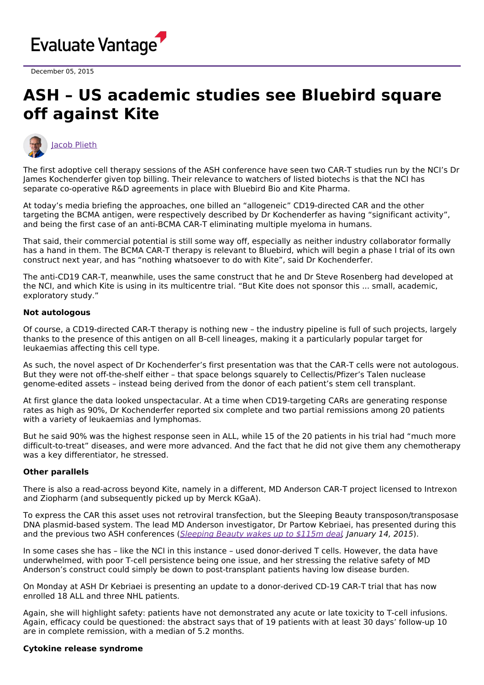

December 05, 2015

# **ASH – US academic studies see Bluebird square off against Kite**



The first adoptive cell therapy sessions of the ASH conference have seen two CAR-T studies run by the NCI's Dr James Kochenderfer given top billing. Their relevance to watchers of listed biotechs is that the NCI has separate co-operative R&D agreements in place with Bluebird Bio and Kite Pharma.

At today's media briefing the approaches, one billed an "allogeneic" CD19-directed CAR and the other targeting the BCMA antigen, were respectively described by Dr Kochenderfer as having "significant activity", and being the first case of an anti-BCMA CAR-T eliminating multiple myeloma in humans.

That said, their commercial potential is still some way off, especially as neither industry collaborator formally has a hand in them. The BCMA CAR-T therapy is relevant to Bluebird, which will begin a phase I trial of its own construct next year, and has "nothing whatsoever to do with Kite", said Dr Kochenderfer.

The anti-CD19 CAR-T, meanwhile, uses the same construct that he and Dr Steve Rosenberg had developed at the NCI, and which Kite is using in its multicentre trial. "But Kite does not sponsor this ... small, academic, exploratory study."

### **Not autologous**

Of course, a CD19-directed CAR-T therapy is nothing new – the industry pipeline is full of such projects, largely thanks to the presence of this antigen on all B-cell lineages, making it a particularly popular target for leukaemias affecting this cell type.

As such, the novel aspect of Dr Kochenderfer's first presentation was that the CAR-T cells were not autologous. But they were not off-the-shelf either – that space belongs squarely to Cellectis/Pfizer's Talen nuclease genome-edited assets – instead being derived from the donor of each patient's stem cell transplant.

At first glance the data looked unspectacular. At a time when CD19-targeting CARs are generating response rates as high as 90%, Dr Kochenderfer reported six complete and two partial remissions among 20 patients with a variety of leukaemias and lymphomas.

But he said 90% was the highest response seen in ALL, while 15 of the 20 patients in his trial had "much more difficult-to-treat" diseases, and were more advanced. And the fact that he did not give them any chemotherapy was a key differentiator, he stressed.

#### **Other parallels**

There is also a read-across beyond Kite, namely in a different, MD Anderson CAR-T project licensed to Intrexon and Ziopharm (and subsequently picked up by Merck KGaA).

To express the CAR this asset uses not retroviral transfection, but the Sleeping Beauty transposon/transposase DNA plasmid-based system. The lead MD Anderson investigator, Dr Partow Kebriaei, has presented during this and the previous two ASH conferences ([Sleeping](http://epvantage.com/Universal/View.aspx?type=Story&id=552526&isEPVantage=yes¬Sub=false) Beauty wakes up to \$115m deal, January 14, 2015).

In some cases she has – like the NCI in this instance – used donor-derived T cells. However, the data have underwhelmed, with poor T-cell persistence being one issue, and her stressing the relative safety of MD Anderson's construct could simply be down to post-transplant patients having low disease burden.

On Monday at ASH Dr Kebriaei is presenting an update to a donor-derived CD-19 CAR-T trial that has now enrolled 18 ALL and three NHL patients.

Again, she will highlight safety: patients have not demonstrated any acute or late toxicity to T-cell infusions. Again, efficacy could be questioned: the abstract says that of 19 patients with at least 30 days' follow-up 10 are in complete remission, with a median of 5.2 months.

## **Cytokine release syndrome**